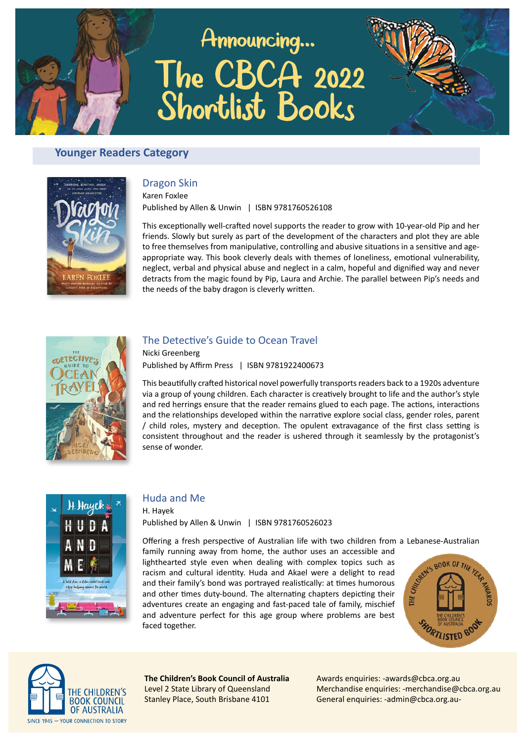# Announcing... The CBCA 2022 Shortlist Books



## **Younger Readers Category**



#### Dragon Skin

Karen Foxlee Published by Allen & Unwin | ISBN 9781760526108

This exceptionally well-crafted novel supports the reader to grow with 10-year-old Pip and her friends. Slowly but surely as part of the development of the characters and plot they are able to free themselves from manipulative, controlling and abusive situations in a sensitive and ageappropriate way. This book cleverly deals with themes of loneliness, emotional vulnerability, neglect, verbal and physical abuse and neglect in a calm, hopeful and dignified way and never detracts from the magic found by Pip, Laura and Archie. The parallel between Pip's needs and the needs of the baby dragon is cleverly written.



#### The Detective's Guide to Ocean Travel

Nicki Greenberg Published by Affirm Press | ISBN 9781922400673

This beautifully crafted historical novel powerfully transports readers back to a 1920s adventure via a group of young children. Each character is creatively brought to life and the author's style and red herrings ensure that the reader remains glued to each page. The actions, interactions and the relationships developed within the narrative explore social class, gender roles, parent / child roles, mystery and deception. The opulent extravagance of the first class setting is consistent throughout and the reader is ushered through it seamlessly by the protagonist's sense of wonder.



#### Huda and Me

H. Hayek Published by Allen & Unwin | ISBN 9781760526023

Offering a fresh perspective of Australian life with two children from a Lebanese-Australian

family running away from home, the author uses an accessible and lighthearted style even when dealing with complex topics such as racism and cultural identity. Huda and Akael were a delight to read and their family's bond was portrayed realistically: at times humorous and other times duty-bound. The alternating chapters depicting their adventures create an engaging and fast-paced tale of family, mischief and adventure perfect for this age group where problems are best faced together.





**The Children's Book Council of Australia** Level 2 State Library of Queensland Stanley Place, South Brisbane 4101

Awards enquiries: -awards@cbca.org.au Merchandise enquiries: -merchandise@cbca.org.au General enquiries: -admin@cbca.org.au-